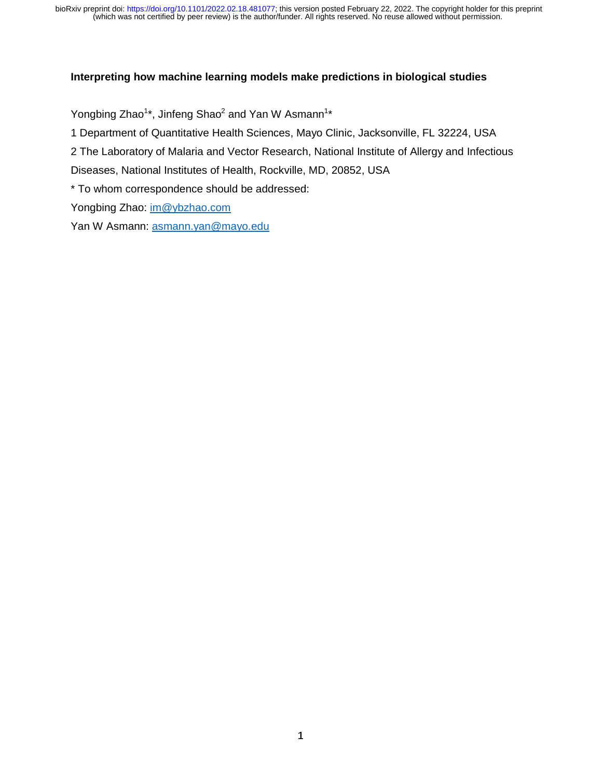#### **Interpreting how machine learning models make predictions in biological studies**

Yongbing Zhao<sup>1</sup>\*, Jinfeng Shao<sup>2</sup> and Yan W Asmann<sup>1</sup>\*

1 Department of Quantitative Health Sciences, Mayo Clinic, Jacksonville, FL 32224, USA

2 The Laboratory of Malaria and Vector Research, National Institute of Allergy and Infectious

Diseases, National Institutes of Health, Rockville, MD, 20852, USA

\* To whom correspondence should be addressed:

Yongbing Zhao: im@ybzhao.com

Yan W Asmann: asmann.yan@mayo.edu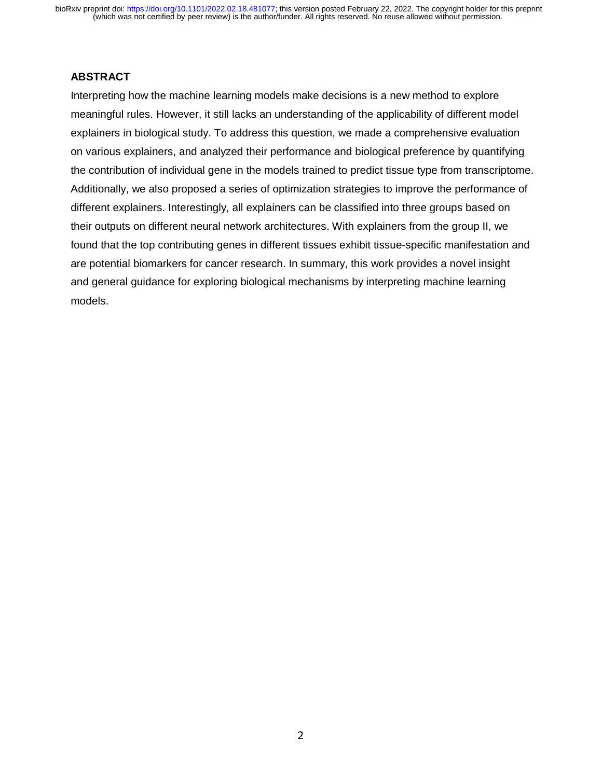#### **ABSTRACT**

Interpreting how the machine learning models make decisions is a new method to explore meaningful rules. However, it still lacks an understanding of the applicability of different model explainers in biological study. To address this question, we made a comprehensive evaluation on various explainers, and analyzed their performance and biological preference by quantifying the contribution of individual gene in the models trained to predict tissue type from transcriptome. Additionally, we also proposed a series of optimization strategies to improve the performance of different explainers. Interestingly, all explainers can be classified into three groups based on their outputs on different neural network architectures. With explainers from the group II, we found that the top contributing genes in different tissues exhibit tissue-specific manifestation and are potential biomarkers for cancer research. In summary, this work provides a novel insight and general guidance for exploring biological mechanisms by interpreting machine learning models.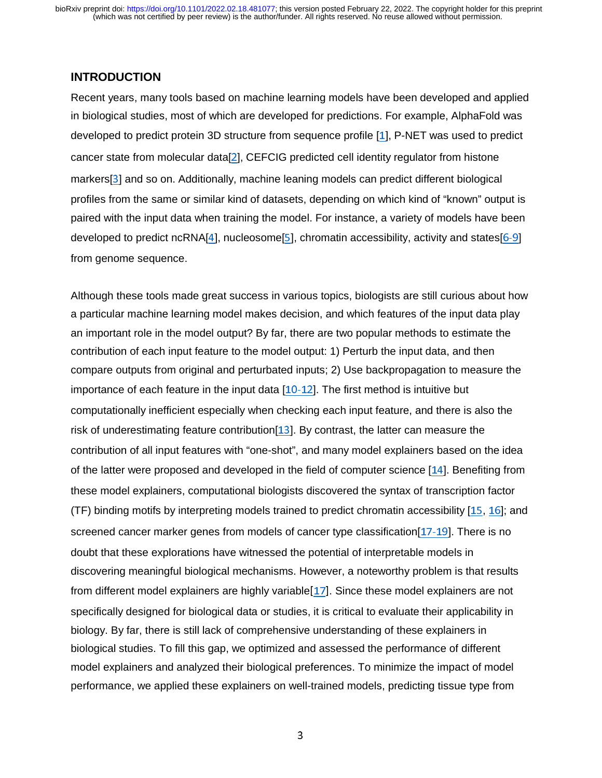## **INTRODUCTION**

Recent years, many tools based on machine learning models have been developed and applied in biological studies, most of which are developed for predictions. For example, AlphaFold was developed to predict protein 3D structure from sequence profile [1], P-NET was used to predict cancer state from molecular data[2], CEFCIG predicted cell identity regulator from histone markers[3] and so on. Additionally, machine leaning models can predict different biological profiles from the same or similar kind of datasets, depending on which kind of "known" output is paired with the input data when training the model. For instance, a variety of models have been developed to predict ncRNA[4], nucleosome[5], chromatin accessibility, activity and states[6-9] from genome sequence.

Although these tools made great success in various topics, biologists are still curious about how a particular machine learning model makes decision, and which features of the input data play an important role in the model output? By far, there are two popular methods to estimate the contribution of each input feature to the model output: 1) Perturb the input data, and then compare outputs from original and perturbated inputs; 2) Use backpropagation to measure the importance of each feature in the input data [10-12]. The first method is intuitive but computationally inefficient especially when checking each input feature, and there is also the risk of underestimating feature contribution[13]. By contrast, the latter can measure the contribution of all input features with "one-shot", and many model explainers based on the idea of the latter were proposed and developed in the field of computer science [14]. Benefiting from these model explainers, computational biologists discovered the syntax of transcription factor (TF) binding motifs by interpreting models trained to predict chromatin accessibility [15, 16]; and screened cancer marker genes from models of cancer type classification[17-19]. There is no doubt that these explorations have witnessed the potential of interpretable models in discovering meaningful biological mechanisms. However, a noteworthy problem is that results from different model explainers are highly variable[17]. Since these model explainers are not specifically designed for biological data or studies, it is critical to evaluate their applicability in biology. By far, there is still lack of comprehensive understanding of these explainers in biological studies. To fill this gap, we optimized and assessed the performance of different model explainers and analyzed their biological preferences. To minimize the impact of model performance, we applied these explainers on well-trained models, predicting tissue type from

 $\sim$  3  $\sim$  3  $\sim$  3  $\sim$  3  $\sim$  3  $\sim$  3  $\sim$  3  $\sim$  3  $\sim$  3  $\sim$  3  $\sim$  3  $\sim$  3  $\sim$  3  $\sim$  3  $\sim$  3  $\sim$  3  $\sim$  3  $\sim$  3  $\sim$  3  $\sim$  3  $\sim$  3  $\sim$  3  $\sim$  3  $\sim$  3  $\sim$  3  $\sim$  3  $\sim$  3  $\sim$  3  $\sim$  3  $\sim$  3  $\sim$  3  $\sim$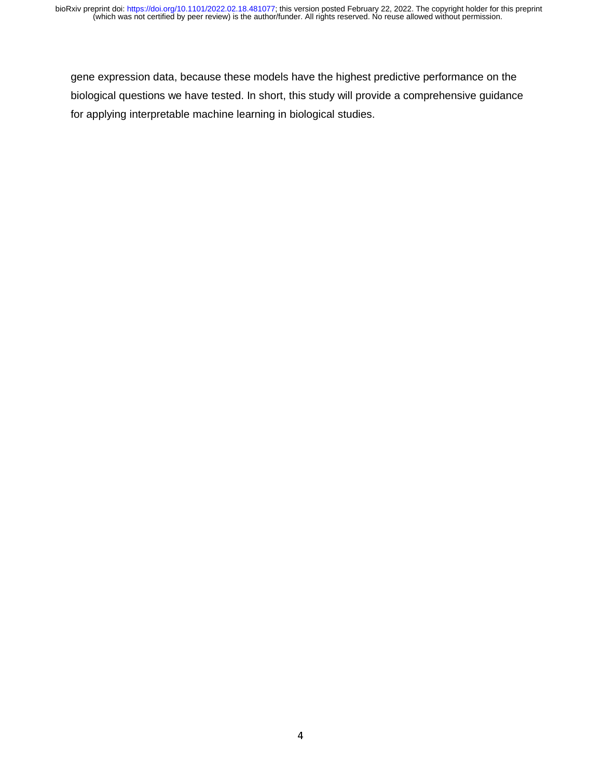gene expression data, because these models have the highest predictive performance on the biological questions we have tested. In short, this study will provide a comprehensive guidance for applying interpretable machine learning in biological studies.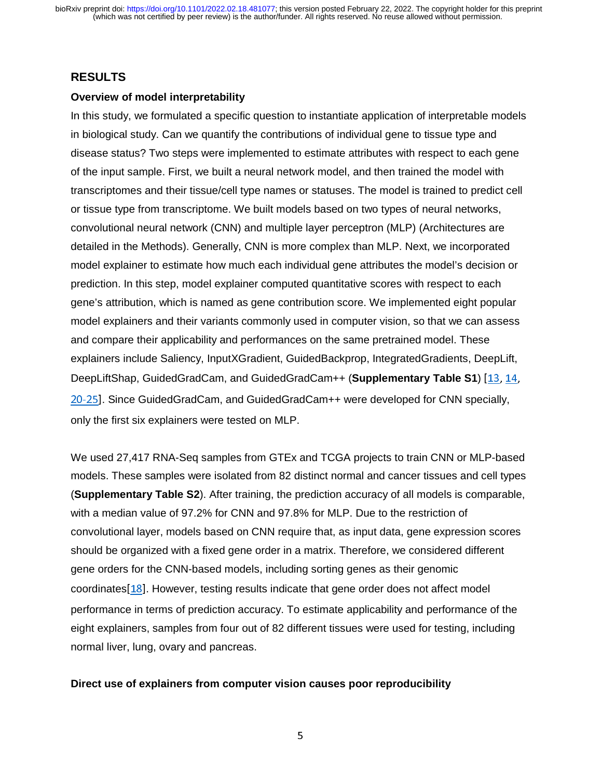## **RESULTS**

#### **Overview of model interpretability**

In this study, we formulated a specific question to instantiate application of interpretable models in biological study. Can we quantify the contributions of individual gene to tissue type and disease status? Two steps were implemented to estimate attributes with respect to each gene of the input sample. First, we built a neural network model, and then trained the model with transcriptomes and their tissue/cell type names or statuses. The model is trained to predict cell or tissue type from transcriptome. We built models based on two types of neural networks, convolutional neural network (CNN) and multiple layer perceptron (MLP) (Architectures are detailed in the Methods). Generally, CNN is more complex than MLP. Next, we incorporated model explainer to estimate how much each individual gene attributes the model's decision or prediction. In this step, model explainer computed quantitative scores with respect to each gene's attribution, which is named as gene contribution score. We implemented eight popular model explainers and their variants commonly used in computer vision, so that we can assess and compare their applicability and performances on the same pretrained model. These explainers include Saliency, InputXGradient, GuidedBackprop, IntegratedGradients, DeepLift, DeepLiftShap, GuidedGradCam, and GuidedGradCam++ (**Supplementary Table S1**) [13, 14, 20-25]. Since GuidedGradCam, and GuidedGradCam++ were developed for CNN specially, only the first six explainers were tested on MLP.

We used 27,417 RNA-Seq samples from GTEx and TCGA projects to train CNN or MLP-based models. These samples were isolated from 82 distinct normal and cancer tissues and cell types (**Supplementary Table S2**). After training, the prediction accuracy of all models is comparable, with a median value of 97.2% for CNN and 97.8% for MLP. Due to the restriction of convolutional layer, models based on CNN require that, as input data, gene expression scores should be organized with a fixed gene order in a matrix. Therefore, we considered different gene orders for the CNN-based models, including sorting genes as their genomic coordinates[18]. However, testing results indicate that gene order does not affect model performance in terms of prediction accuracy. To estimate applicability and performance of the eight explainers, samples from four out of 82 different tissues were used for testing, including normal liver, lung, ovary and pancreas.

#### **Direct use of explainers from computer vision causes poor reproducibility**

 $\sim$  5  $\sim$  5  $\sim$  5  $\sim$  5  $\sim$  5  $\sim$  5  $\sim$  5  $\sim$  5  $\sim$  5  $\sim$  5  $\sim$  5  $\sim$  5  $\sim$  5  $\sim$  5  $\sim$  5  $\sim$  5  $\sim$  5  $\sim$  5  $\sim$  5  $\sim$  5  $\sim$  5  $\sim$  5  $\sim$  5  $\sim$  5  $\sim$  5  $\sim$  5  $\sim$  5  $\sim$  5  $\sim$  5  $\sim$  5  $\sim$  5  $\sim$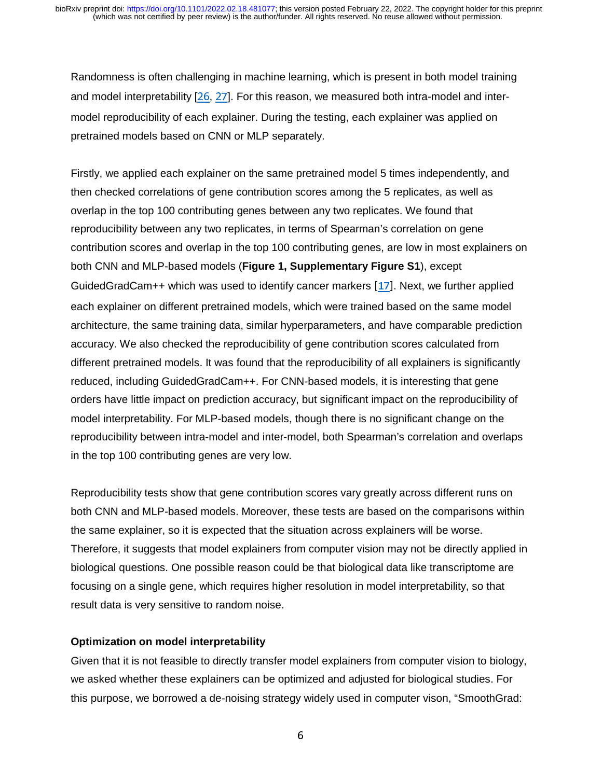Randomness is often challenging in machine learning, which is present in both model training and model interpretability [26, 27]. For this reason, we measured both intra-model and intermodel reproducibility of each explainer. During the testing, each explainer was applied on pretrained models based on CNN or MLP separately.

Firstly, we applied each explainer on the same pretrained model 5 times independently, and then checked correlations of gene contribution scores among the 5 replicates, as well as overlap in the top 100 contributing genes between any two replicates. We found that reproducibility between any two replicates, in terms of Spearman's correlation on gene contribution scores and overlap in the top 100 contributing genes, are low in most explainers on both CNN and MLP-based models (**Figure 1, Supplementary Figure S1**), except GuidedGradCam++ which was used to identify cancer markers [17]. Next, we further applied each explainer on different pretrained models, which were trained based on the same model architecture, the same training data, similar hyperparameters, and have comparable prediction accuracy. We also checked the reproducibility of gene contribution scores calculated from different pretrained models. It was found that the reproducibility of all explainers is significantly reduced, including GuidedGradCam++. For CNN-based models, it is interesting that gene orders have little impact on prediction accuracy, but significant impact on the reproducibility of model interpretability. For MLP-based models, though there is no significant change on the reproducibility between intra-model and inter-model, both Spearman's correlation and overlaps in the top 100 contributing genes are very low.

Reproducibility tests show that gene contribution scores vary greatly across different runs on both CNN and MLP-based models. Moreover, these tests are based on the comparisons within the same explainer, so it is expected that the situation across explainers will be worse. Therefore, it suggests that model explainers from computer vision may not be directly applied in biological questions. One possible reason could be that biological data like transcriptome are focusing on a single gene, which requires higher resolution in model interpretability, so that result data is very sensitive to random noise.

#### **Optimization on model interpretability**

Given that it is not feasible to directly transfer model explainers from computer vision to biology, we asked whether these explainers can be optimized and adjusted for biological studies. For this purpose, we borrowed a de-noising strategy widely used in computer vison, "SmoothGrad:

 $\overline{\phantom{a}}$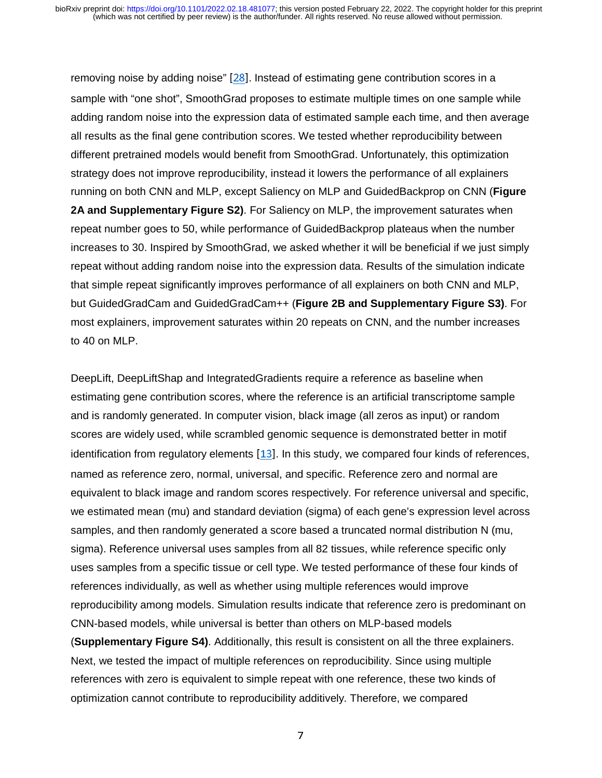removing noise by adding noise" [28]. Instead of estimating gene contribution scores in a sample with "one shot", SmoothGrad proposes to estimate multiple times on one sample while adding random noise into the expression data of estimated sample each time, and then average all results as the final gene contribution scores. We tested whether reproducibility between different pretrained models would benefit from SmoothGrad. Unfortunately, this optimization strategy does not improve reproducibility, instead it lowers the performance of all explainers running on both CNN and MLP, except Saliency on MLP and GuidedBackprop on CNN (**Figure 2A and Supplementary Figure S2)**. For Saliency on MLP, the improvement saturates when repeat number goes to 50, while performance of GuidedBackprop plateaus when the number increases to 30. Inspired by SmoothGrad, we asked whether it will be beneficial if we just simply repeat without adding random noise into the expression data. Results of the simulation indicate that simple repeat significantly improves performance of all explainers on both CNN and MLP, but GuidedGradCam and GuidedGradCam++ (**Figure 2B and Supplementary Figure S3)**. For most explainers, improvement saturates within 20 repeats on CNN, and the number increases to 40 on MLP.

DeepLift, DeepLiftShap and IntegratedGradients require a reference as baseline when estimating gene contribution scores, where the reference is an artificial transcriptome sample and is randomly generated. In computer vision, black image (all zeros as input) or random scores are widely used, while scrambled genomic sequence is demonstrated better in motif identification from regulatory elements [13]. In this study, we compared four kinds of references, named as reference zero, normal, universal, and specific. Reference zero and normal are equivalent to black image and random scores respectively. For reference universal and specific, we estimated mean (mu) and standard deviation (sigma) of each gene's expression level across samples, and then randomly generated a score based a truncated normal distribution N (mu, sigma). Reference universal uses samples from all 82 tissues, while reference specific only uses samples from a specific tissue or cell type. We tested performance of these four kinds of references individually, as well as whether using multiple references would improve reproducibility among models. Simulation results indicate that reference zero is predominant on CNN-based models, while universal is better than others on MLP-based models (**Supplementary Figure S4)**. Additionally, this result is consistent on all the three explainers.

Next, we tested the impact of multiple references on reproducibility. Since using multiple references with zero is equivalent to simple repeat with one reference, these two kinds of optimization cannot contribute to reproducibility additively. Therefore, we compared

7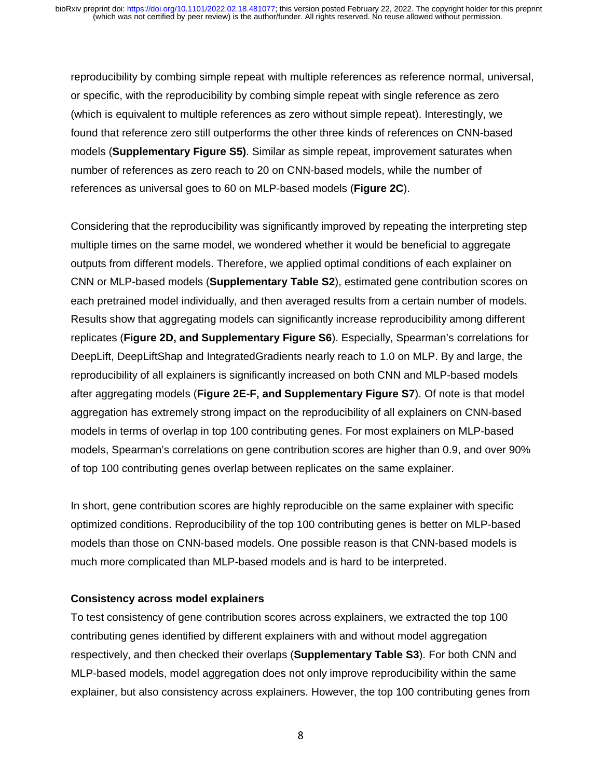reproducibility by combing simple repeat with multiple references as reference normal, universal, or specific, with the reproducibility by combing simple repeat with single reference as zero (which is equivalent to multiple references as zero without simple repeat). Interestingly, we found that reference zero still outperforms the other three kinds of references on CNN-based models (**Supplementary Figure S5)**. Similar as simple repeat, improvement saturates when number of references as zero reach to 20 on CNN-based models, while the number of references as universal goes to 60 on MLP-based models (**Figure 2C**).

Considering that the reproducibility was significantly improved by repeating the interpreting step multiple times on the same model, we wondered whether it would be beneficial to aggregate outputs from different models. Therefore, we applied optimal conditions of each explainer on CNN or MLP-based models (**Supplementary Table S2**), estimated gene contribution scores on each pretrained model individually, and then averaged results from a certain number of models. Results show that aggregating models can significantly increase reproducibility among different replicates (**Figure 2D, and Supplementary Figure S6**). Especially, Spearman's correlations for DeepLift, DeepLiftShap and IntegratedGradients nearly reach to 1.0 on MLP. By and large, the reproducibility of all explainers is significantly increased on both CNN and MLP-based models after aggregating models (**Figure 2E-F, and Supplementary Figure S7**). Of note is that model aggregation has extremely strong impact on the reproducibility of all explainers on CNN-based models in terms of overlap in top 100 contributing genes. For most explainers on MLP-based models, Spearman's correlations on gene contribution scores are higher than 0.9, and over 90% of top 100 contributing genes overlap between replicates on the same explainer.

In short, gene contribution scores are highly reproducible on the same explainer with specific optimized conditions. Reproducibility of the top 100 contributing genes is better on MLP-based models than those on CNN-based models. One possible reason is that CNN-based models is much more complicated than MLP-based models and is hard to be interpreted.

#### **Consistency across model explainers**

To test consistency of gene contribution scores across explainers, we extracted the top 100 contributing genes identified by different explainers with and without model aggregation respectively, and then checked their overlaps (**Supplementary Table S3**). For both CNN and MLP-based models, model aggregation does not only improve reproducibility within the same explainer, but also consistency across explainers. However, the top 100 contributing genes from

 $\mathbf{S}$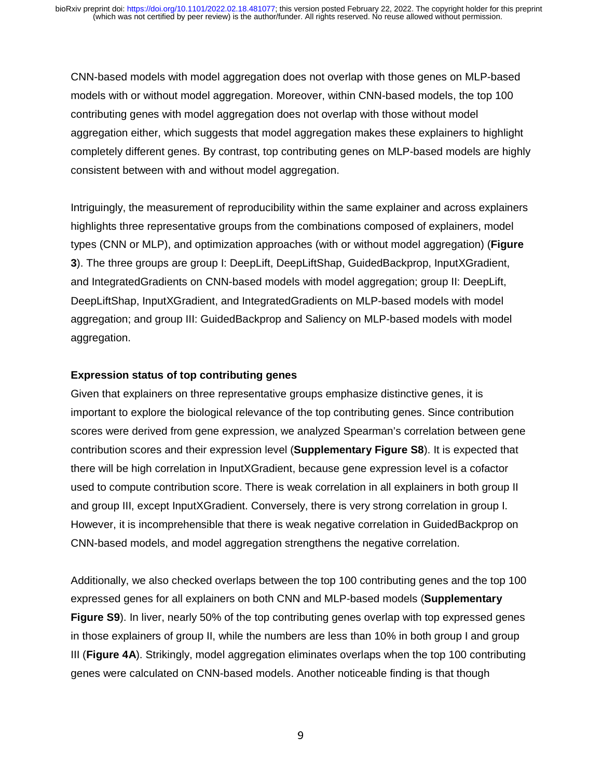CNN-based models with model aggregation does not overlap with those genes on MLP-based models with or without model aggregation. Moreover, within CNN-based models, the top 100 contributing genes with model aggregation does not overlap with those without model aggregation either, which suggests that model aggregation makes these explainers to highlight completely different genes. By contrast, top contributing genes on MLP-based models are highly consistent between with and without model aggregation.

Intriguingly, the measurement of reproducibility within the same explainer and across explainers highlights three representative groups from the combinations composed of explainers, model types (CNN or MLP), and optimization approaches (with or without model aggregation) (**Figure 3**). The three groups are group I: DeepLift, DeepLiftShap, GuidedBackprop, InputXGradient, and IntegratedGradients on CNN-based models with model aggregation; group II: DeepLift, DeepLiftShap, InputXGradient, and IntegratedGradients on MLP-based models with model aggregation; and group III: GuidedBackprop and Saliency on MLP-based models with model aggregation.

#### **Expression status of top contributing genes**

Given that explainers on three representative groups emphasize distinctive genes, it is important to explore the biological relevance of the top contributing genes. Since contribution scores were derived from gene expression, we analyzed Spearman's correlation between gene contribution scores and their expression level (**Supplementary Figure S8**). It is expected that there will be high correlation in InputXGradient, because gene expression level is a cofactor used to compute contribution score. There is weak correlation in all explainers in both group II and group III, except InputXGradient. Conversely, there is very strong correlation in group I. However, it is incomprehensible that there is weak negative correlation in GuidedBackprop on CNN-based models, and model aggregation strengthens the negative correlation.

Additionally, we also checked overlaps between the top 100 contributing genes and the top 100 expressed genes for all explainers on both CNN and MLP-based models (**Supplementary Figure S9**). In liver, nearly 50% of the top contributing genes overlap with top expressed genes in those explainers of group II, while the numbers are less than 10% in both group I and group III (**Figure 4A**). Strikingly, model aggregation eliminates overlaps when the top 100 contributing genes were calculated on CNN-based models. Another noticeable finding is that though

en de la provincia de la provincia de la provincia de la provincia de la provincia de la provincia de la provi<br>En la provincia de la provincia de la provincia de la provincia de la provincia de la provincia de la provinci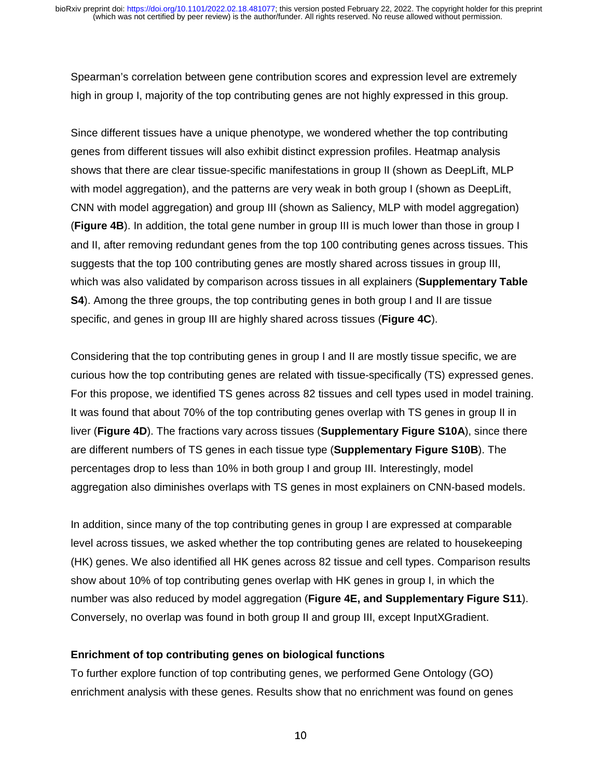Spearman's correlation between gene contribution scores and expression level are extremely high in group I, majority of the top contributing genes are not highly expressed in this group.

Since different tissues have a unique phenotype, we wondered whether the top contributing genes from different tissues will also exhibit distinct expression profiles. Heatmap analysis shows that there are clear tissue-specific manifestations in group II (shown as DeepLift, MLP with model aggregation), and the patterns are very weak in both group I (shown as DeepLift, CNN with model aggregation) and group III (shown as Saliency, MLP with model aggregation) (**Figure 4B**). In addition, the total gene number in group III is much lower than those in group I and II, after removing redundant genes from the top 100 contributing genes across tissues. This suggests that the top 100 contributing genes are mostly shared across tissues in group III, which was also validated by comparison across tissues in all explainers (**Supplementary Table S4**). Among the three groups, the top contributing genes in both group I and II are tissue specific, and genes in group III are highly shared across tissues (**Figure 4C**).

Considering that the top contributing genes in group I and II are mostly tissue specific, we are curious how the top contributing genes are related with tissue-specifically (TS) expressed genes. For this propose, we identified TS genes across 82 tissues and cell types used in model training. It was found that about 70% of the top contributing genes overlap with TS genes in group II in liver (**Figure 4D**). The fractions vary across tissues (**Supplementary Figure S10A**), since there are different numbers of TS genes in each tissue type (**Supplementary Figure S10B**). The percentages drop to less than 10% in both group I and group III. Interestingly, model aggregation also diminishes overlaps with TS genes in most explainers on CNN-based models.

In addition, since many of the top contributing genes in group I are expressed at comparable level across tissues, we asked whether the top contributing genes are related to housekeeping (HK) genes. We also identified all HK genes across 82 tissue and cell types. Comparison results show about 10% of top contributing genes overlap with HK genes in group I, in which the number was also reduced by model aggregation (**Figure 4E, and Supplementary Figure S11**). Conversely, no overlap was found in both group II and group III, except InputXGradient.

#### **Enrichment of top contributing genes on biological functions**

To further explore function of top contributing genes, we performed Gene Ontology (GO) enrichment analysis with these genes. Results show that no enrichment was found on genes

10 and 10 and 10 and 10 and 10 and 10 and 10 and 10 and 10 and 10 and 10 and 10 and 10 and 10 and 10 and 10 an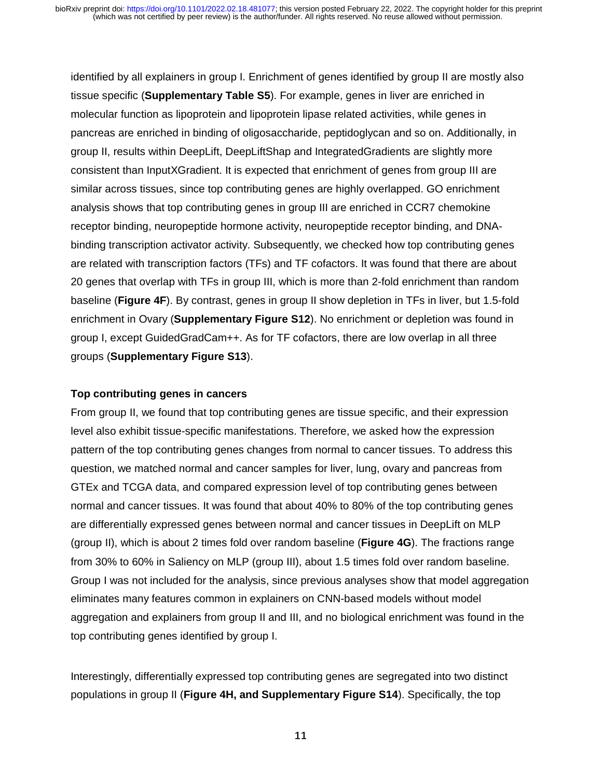identified by all explainers in group I. Enrichment of genes identified by group II are mostly also tissue specific (**Supplementary Table S5**). For example, genes in liver are enriched in molecular function as lipoprotein and lipoprotein lipase related activities, while genes in pancreas are enriched in binding of oligosaccharide, peptidoglycan and so on. Additionally, in group II, results within DeepLift, DeepLiftShap and IntegratedGradients are slightly more consistent than InputXGradient. It is expected that enrichment of genes from group III are similar across tissues, since top contributing genes are highly overlapped. GO enrichment analysis shows that top contributing genes in group III are enriched in CCR7 chemokine receptor binding, neuropeptide hormone activity, neuropeptide receptor binding, and DNAbinding transcription activator activity. Subsequently, we checked how top contributing genes are related with transcription factors (TFs) and TF cofactors. It was found that there are about 20 genes that overlap with TFs in group III, which is more than 2-fold enrichment than random baseline (**Figure 4F**). By contrast, genes in group II show depletion in TFs in liver, but 1.5-fold enrichment in Ovary (**Supplementary Figure S12**). No enrichment or depletion was found in group I, except GuidedGradCam++. As for TF cofactors, there are low overlap in all three groups (**Supplementary Figure S13**).

#### **Top contributing genes in cancers**

From group II, we found that top contributing genes are tissue specific, and their expression level also exhibit tissue-specific manifestations. Therefore, we asked how the expression pattern of the top contributing genes changes from normal to cancer tissues. To address this question, we matched normal and cancer samples for liver, lung, ovary and pancreas from GTEx and TCGA data, and compared expression level of top contributing genes between normal and cancer tissues. It was found that about 40% to 80% of the top contributing genes are differentially expressed genes between normal and cancer tissues in DeepLift on MLP (group II), which is about 2 times fold over random baseline (**Figure 4G**). The fractions range from 30% to 60% in Saliency on MLP (group III), about 1.5 times fold over random baseline. Group I was not included for the analysis, since previous analyses show that model aggregation eliminates many features common in explainers on CNN-based models without model aggregation and explainers from group II and III, and no biological enrichment was found in the top contributing genes identified by group I.

Interestingly, differentially expressed top contributing genes are segregated into two distinct populations in group II (**Figure 4H, and Supplementary Figure S14**). Specifically, the top

11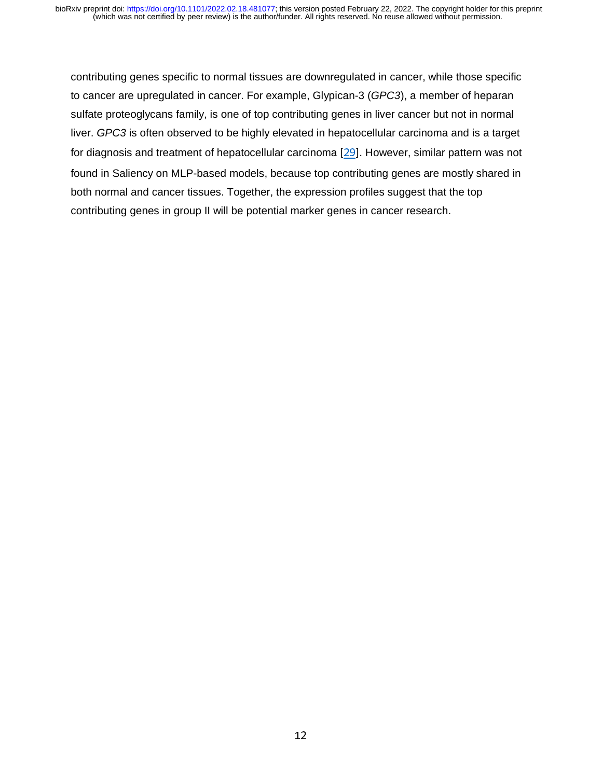contributing genes specific to normal tissues are downregulated in cancer, while those specific to cancer are upregulated in cancer. For example, Glypican-3 (*GPC3*), a member of heparan sulfate proteoglycans family, is one of top contributing genes in liver cancer but not in normal liver. *GPC3* is often observed to be highly elevated in hepatocellular carcinoma and is a target for diagnosis and treatment of hepatocellular carcinoma [29]. However, similar pattern was not found in Saliency on MLP-based models, because top contributing genes are mostly shared in both normal and cancer tissues. Together, the expression profiles suggest that the top contributing genes in group II will be potential marker genes in cancer research.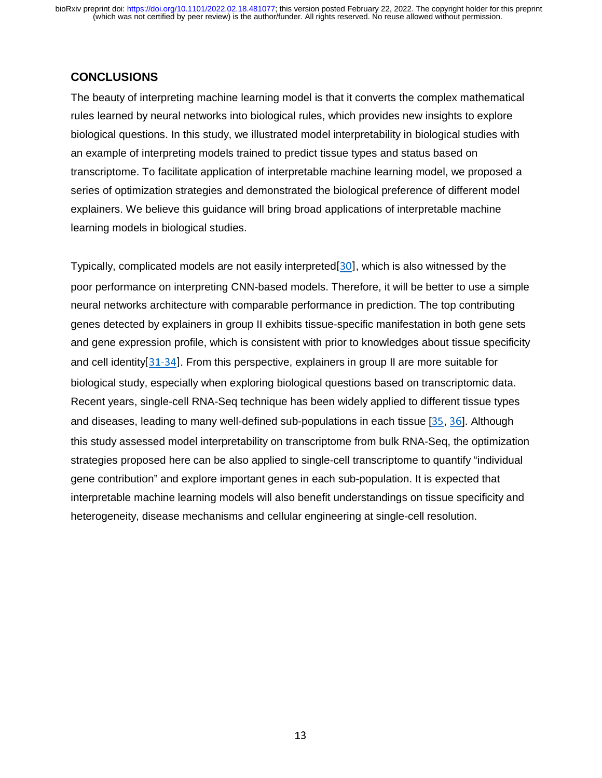## **CONCLUSIONS**

The beauty of interpreting machine learning model is that it converts the complex mathematical rules learned by neural networks into biological rules, which provides new insights to explore biological questions. In this study, we illustrated model interpretability in biological studies with an example of interpreting models trained to predict tissue types and status based on transcriptome. To facilitate application of interpretable machine learning model, we proposed a series of optimization strategies and demonstrated the biological preference of different model explainers. We believe this guidance will bring broad applications of interpretable machine learning models in biological studies.

Typically, complicated models are not easily interpreted[30], which is also witnessed by the poor performance on interpreting CNN-based models. Therefore, it will be better to use a simple neural networks architecture with comparable performance in prediction. The top contributing genes detected by explainers in group II exhibits tissue-specific manifestation in both gene sets and gene expression profile, which is consistent with prior to knowledges about tissue specificity and cell identity[31-34]. From this perspective, explainers in group II are more suitable for biological study, especially when exploring biological questions based on transcriptomic data. Recent years, single-cell RNA-Seq technique has been widely applied to different tissue types and diseases, leading to many well-defined sub-populations in each tissue [35, 36]. Although this study assessed model interpretability on transcriptome from bulk RNA-Seq, the optimization strategies proposed here can be also applied to single-cell transcriptome to quantify "individual gene contribution" and explore important genes in each sub-population. It is expected that interpretable machine learning models will also benefit understandings on tissue specificity and heterogeneity, disease mechanisms and cellular engineering at single-cell resolution.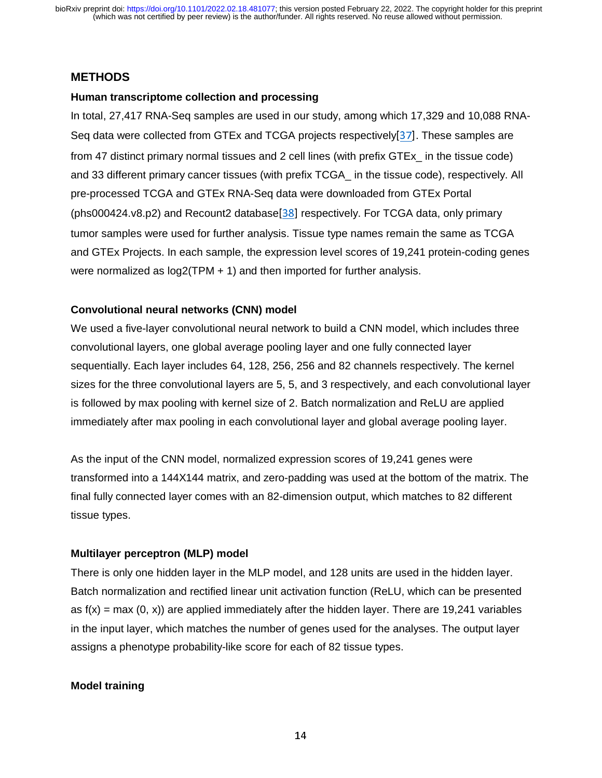## **METHODS**

#### **Human transcriptome collection and processing**

In total, 27,417 RNA-Seq samples are used in our study, among which 17,329 and 10,088 RNA-Seq data were collected from GTEx and TCGA projects respectively[37]. These samples are from 47 distinct primary normal tissues and 2 cell lines (with prefix GTEx\_ in the tissue code) and 33 different primary cancer tissues (with prefix TCGA\_ in the tissue code), respectively. All pre-processed TCGA and GTEx RNA-Seq data were downloaded from GTEx Portal (phs000424.v8.p2) and Recount2 database[38] respectively. For TCGA data, only primary tumor samples were used for further analysis. Tissue type names remain the same as TCGA and GTEx Projects. In each sample, the expression level scores of 19,241 protein-coding genes were normalized as log2(TPM + 1) and then imported for further analysis.

#### **Convolutional neural networks (CNN) model**

We used a five-layer convolutional neural network to build a CNN model, which includes three convolutional layers, one global average pooling layer and one fully connected layer sequentially. Each layer includes 64, 128, 256, 256 and 82 channels respectively. The kernel sizes for the three convolutional layers are 5, 5, and 3 respectively, and each convolutional layer is followed by max pooling with kernel size of 2. Batch normalization and ReLU are applied immediately after max pooling in each convolutional layer and global average pooling layer.

As the input of the CNN model, normalized expression scores of 19,241 genes were transformed into a 144X144 matrix, and zero-padding was used at the bottom of the matrix. The final fully connected layer comes with an 82-dimension output, which matches to 82 different tissue types.

#### **Multilayer perceptron (MLP) model**

There is only one hidden layer in the MLP model, and 128 units are used in the hidden layer. Batch normalization and rectified linear unit activation function (ReLU, which can be presented as  $f(x) = max(0, x)$  are applied immediately after the hidden layer. There are 19,241 variables in the input layer, which matches the number of genes used for the analyses. The output layer assigns a phenotype probability-like score for each of 82 tissue types.

#### **Model training**

 $144$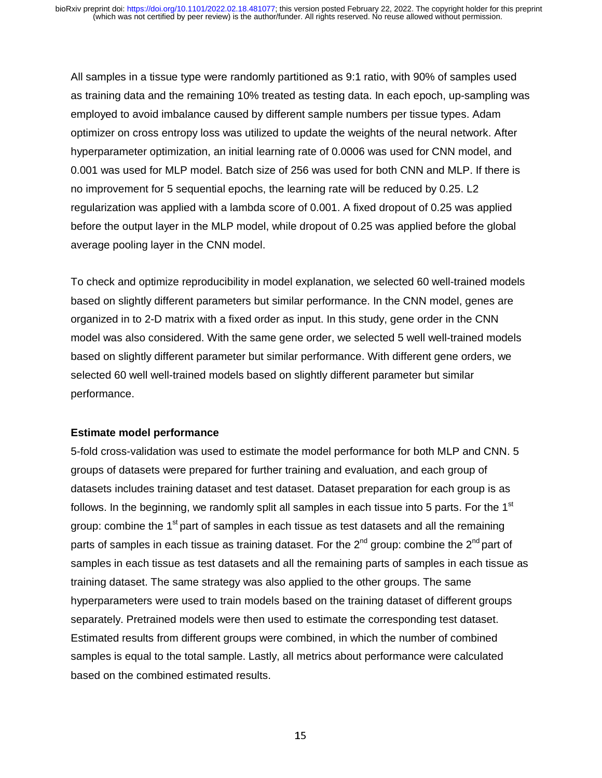All samples in a tissue type were randomly partitioned as 9:1 ratio, with 90% of samples used as training data and the remaining 10% treated as testing data. In each epoch, up-sampling was employed to avoid imbalance caused by different sample numbers per tissue types. Adam optimizer on cross entropy loss was utilized to update the weights of the neural network. After hyperparameter optimization, an initial learning rate of 0.0006 was used for CNN model, and 0.001 was used for MLP model. Batch size of 256 was used for both CNN and MLP. If there is no improvement for 5 sequential epochs, the learning rate will be reduced by 0.25. L2 regularization was applied with a lambda score of 0.001. A fixed dropout of 0.25 was applied before the output layer in the MLP model, while dropout of 0.25 was applied before the global average pooling layer in the CNN model.

To check and optimize reproducibility in model explanation, we selected 60 well-trained models based on slightly different parameters but similar performance. In the CNN model, genes are organized in to 2-D matrix with a fixed order as input. In this study, gene order in the CNN model was also considered. With the same gene order, we selected 5 well well-trained models based on slightly different parameter but similar performance. With different gene orders, we selected 60 well well-trained models based on slightly different parameter but similar performance.

#### **Estimate model performance**

5-fold cross-validation was used to estimate the model performance for both MLP and CNN. 5 groups of datasets were prepared for further training and evaluation, and each group of datasets includes training dataset and test dataset. Dataset preparation for each group is as follows. In the beginning, we randomly split all samples in each tissue into 5 parts. For the  $1<sup>st</sup>$ group: combine the  $1<sup>st</sup>$  part of samples in each tissue as test datasets and all the remaining parts of samples in each tissue as training dataset. For the  $2^{nd}$  group: combine the  $2^{nd}$  part of samples in each tissue as test datasets and all the remaining parts of samples in each tissue as training dataset. The same strategy was also applied to the other groups. The same hyperparameters were used to train models based on the training dataset of different groups separately. Pretrained models were then used to estimate the corresponding test dataset. Estimated results from different groups were combined, in which the number of combined samples is equal to the total sample. Lastly, all metrics about performance were calculated based on the combined estimated results.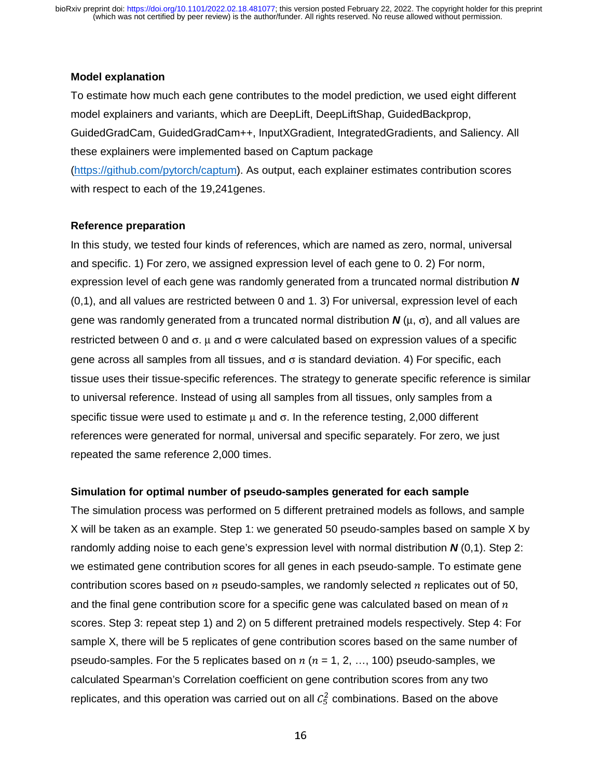#### **Model explanation**

To estimate how much each gene contributes to the model prediction, we used eight different model explainers and variants, which are DeepLift, DeepLiftShap, GuidedBackprop, GuidedGradCam, GuidedGradCam++, InputXGradient, IntegratedGradients, and Saliency. All these explainers were implemented based on Captum package (https://github.com/pytorch/captum). As output, each explainer estimates contribution scores

with respect to each of the 19,241genes.

#### **Reference preparation**

In this study, we tested four kinds of references, which are named as zero, normal, universal and specific. 1) For zero, we assigned expression level of each gene to 0. 2) For norm, expression level of each gene was randomly generated from a truncated normal distribution *N* (0,1), and all values are restricted between 0 and 1. 3) For universal, expression level of each gene was randomly generated from a truncated normal distribution *N* (μ, σ), and all values are restricted between 0 and σ.  $\mu$  and σ were calculated based on expression values of a specific gene across all samples from all tissues, and σ is standard deviation. 4) For specific, each tissue uses their tissue-specific references. The strategy to generate specific reference is similar to universal reference. Instead of using all samples from all tissues, only samples from a specific tissue were used to estimate  $\mu$  and  $\sigma$ . In the reference testing, 2,000 different references were generated for normal, universal and specific separately. For zero, we just repeated the same reference 2,000 times.

#### **Simulation for optimal number of pseudo-samples generated for each sample**

The simulation process was performed on 5 different pretrained models as follows, and sample X will be taken as an example. Step 1: we generated 50 pseudo-samples based on sample X by randomly adding noise to each gene's expression level with normal distribution *N* (0,1). Step 2: we estimated gene contribution scores for all genes in each pseudo-sample. To estimate gene contribution scores based on  $n$  pseudo-samples, we randomly selected  $n$  replicates out of 50, and the final gene contribution score for a specific gene was calculated based on mean of  $n$ scores. Step 3: repeat step 1) and 2) on 5 different pretrained models respectively. Step 4: For sample X, there will be 5 replicates of gene contribution scores based on the same number of pseudo-samples. For the 5 replicates based on  $n (n = 1, 2, ..., 100)$  pseudo-samples, we calculated Spearman's Correlation coefficient on gene contribution scores from any two replicates, and this operation was carried out on all  $\mathcal{C}_5^2$  combinations. Based on the above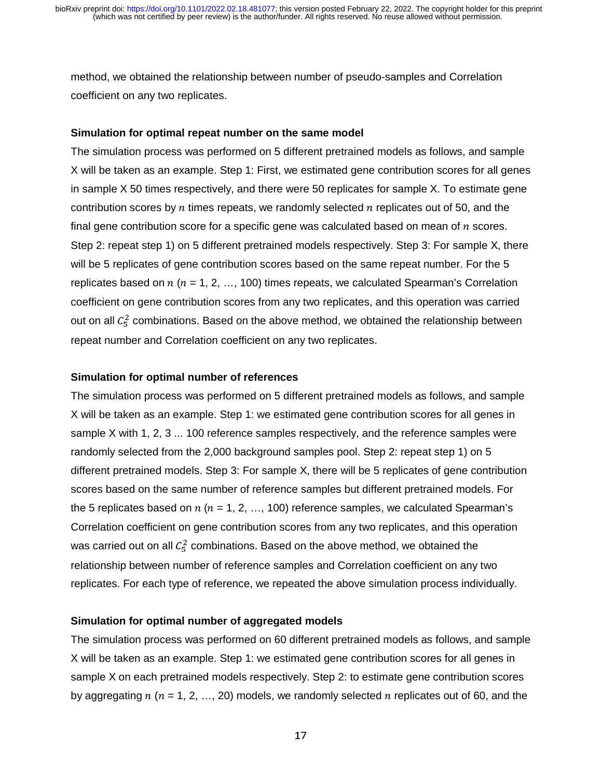method, we obtained the relationship between number of pseudo-samples and Correlation coefficient on any two replicates.

#### **Simulation for optimal repeat number on the same model**

The simulation process was performed on 5 different pretrained models as follows, and sample X will be taken as an example. Step 1: First, we estimated gene contribution scores for all genes in sample X 50 times respectively, and there were 50 replicates for sample X. To estimate gene contribution scores by  $n$  times repeats, we randomly selected  $n$  replicates out of 50, and the final gene contribution score for a specific gene was calculated based on mean of  $n$  scores. Step 2: repeat step 1) on 5 different pretrained models respectively. Step 3: For sample X, there will be 5 replicates of gene contribution scores based on the same repeat number. For the 5 replicates based on  $n (n = 1, 2, ..., 100)$  times repeats, we calculated Spearman's Correlation coefficient on gene contribution scores from any two replicates, and this operation was carried out on all  $C_5^2$  combinations. Based on the above method, we obtained the relationship between repeat number and Correlation coefficient on any two replicates.

#### **Simulation for optimal number of references**

The simulation process was performed on 5 different pretrained models as follows, and sample X will be taken as an example. Step 1: we estimated gene contribution scores for all genes in sample X with 1, 2, 3 ... 100 reference samples respectively, and the reference samples were randomly selected from the 2,000 background samples pool. Step 2: repeat step 1) on 5 different pretrained models. Step 3: For sample X, there will be 5 replicates of gene contribution scores based on the same number of reference samples but different pretrained models. For the 5 replicates based on  $n (n = 1, 2, ..., 100)$  reference samples, we calculated Spearman's Correlation coefficient on gene contribution scores from any two replicates, and this operation was carried out on all  $\mathcal{C}_5^2$  combinations. Based on the above method, we obtained the relationship between number of reference samples and Correlation coefficient on any two replicates. For each type of reference, we repeated the above simulation process individually.

#### **Simulation for optimal number of aggregated models**

The simulation process was performed on 60 different pretrained models as follows, and sample X will be taken as an example. Step 1: we estimated gene contribution scores for all genes in sample X on each pretrained models respectively. Step 2: to estimate gene contribution scores by aggregating  $n (n = 1, 2, ..., 20)$  models, we randomly selected  $n$  replicates out of 60, and the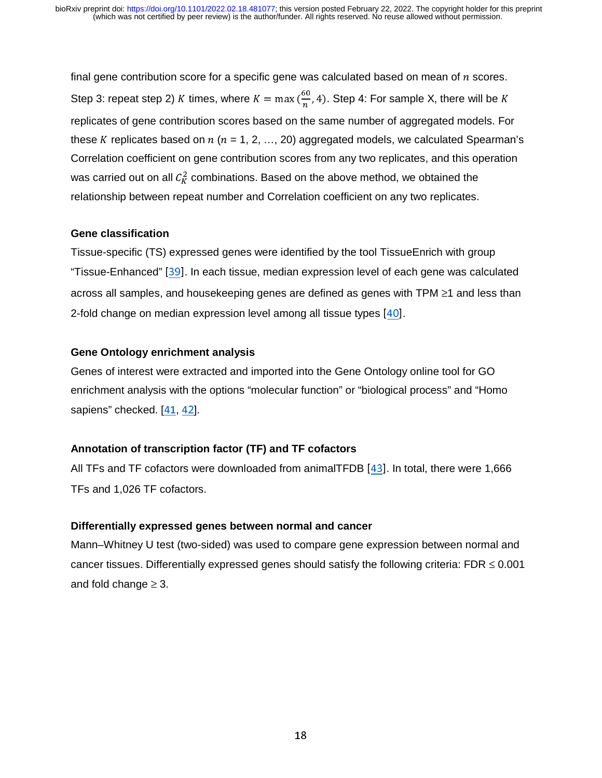final gene contribution score for a specific gene was calculated based on mean of  $n$  scores. Step 3: repeat step 2) K times, where  $K = \max(\frac{\infty}{n}, 4)$ . Step 4: For sample X, there will be K replicates of gene contribution scores based on the same number of aggregated models. For these K replicates based on  $n (n = 1, 2, ..., 20)$  aggregated models, we calculated Spearman's Correlation coefficient on gene contribution scores from any two replicates, and this operation was carried out on all  $\mathcal{C}_K^2$  combinations. Based on the above method, we obtained the relationship between repeat number and Correlation coefficient on any two replicates.

#### **Gene classification**

Tissue-specific (TS) expressed genes were identified by the tool TissueEnrich with group "Tissue-Enhanced" [39]. In each tissue, median expression level of each gene was calculated across all samples, and housekeeping genes are defined as genes with TPM ≥1 and less than 2-fold change on median expression level among all tissue types [40].

#### **Gene Ontology enrichment analysis**

Genes of interest were extracted and imported into the Gene Ontology online tool for GO enrichment analysis with the options "molecular function" or "biological process" and "Homo sapiens" checked. [41, 42].

#### **Annotation of transcription factor (TF) and TF cofactors**

All TFs and TF cofactors were downloaded from animalTFDB [43]. In total, there were 1,666 TFs and 1,026 TF cofactors.

#### **Differentially expressed genes between normal and cancer**

Mann–Whitney U test (two-sided) was used to compare gene expression between normal and cancer tissues. Differentially expressed genes should satisfy the following criteria: FDR  $\leq 0.001$ and fold change  $\geq 3$ .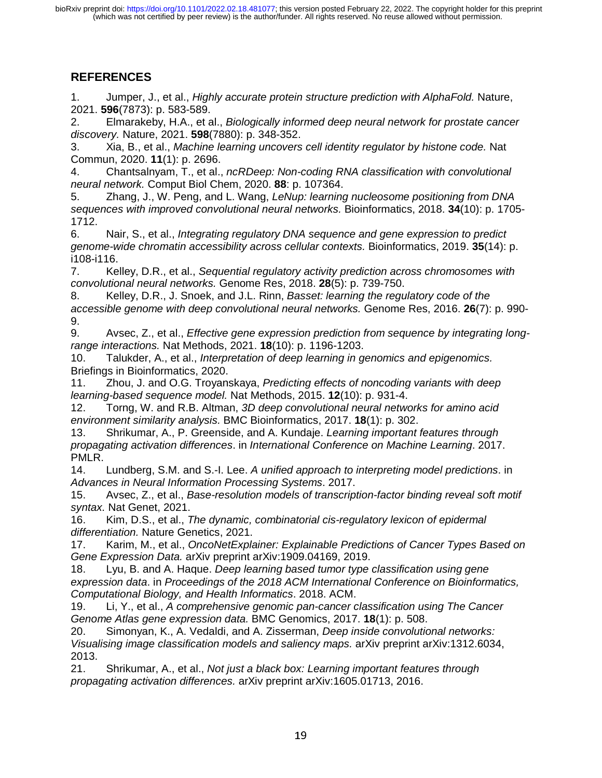## **REFERENCES**

1. Jumper, J., et al., *Highly accurate protein structure prediction with AlphaFold.* Nature, 2021. **596**(7873): p. 583-589.

2. Elmarakeby, H.A., et al., *Biologically informed deep neural network for prostate cancer discovery.* Nature, 2021. **598**(7880): p. 348-352.

3. Xia, B., et al., *Machine learning uncovers cell identity regulator by histone code.* Nat Commun, 2020. **11**(1): p. 2696.

4. Chantsalnyam, T., et al., *ncRDeep: Non-coding RNA classification with convolutional neural network.* Comput Biol Chem, 2020. **88**: p. 107364.

5. Zhang, J., W. Peng, and L. Wang, *LeNup: learning nucleosome positioning from DNA sequences with improved convolutional neural networks.* Bioinformatics, 2018. **34**(10): p. 1705- 1712.

6. Nair, S., et al., *Integrating regulatory DNA sequence and gene expression to predict genome-wide chromatin accessibility across cellular contexts.* Bioinformatics, 2019. **35**(14): p. i108-i116.

7. Kelley, D.R., et al., *Sequential regulatory activity prediction across chromosomes with convolutional neural networks.* Genome Res, 2018. **28**(5): p. 739-750.

8. Kelley, D.R., J. Snoek, and J.L. Rinn, *Basset: learning the regulatory code of the accessible genome with deep convolutional neural networks.* Genome Res, 2016. **26**(7): p. 990- 9.

9. Avsec, Z., et al., *Effective gene expression prediction from sequence by integrating longrange interactions.* Nat Methods, 2021. **18**(10): p. 1196-1203.

10. Talukder, A., et al., *Interpretation of deep learning in genomics and epigenomics.* Briefings in Bioinformatics, 2020.

11. Zhou, J. and O.G. Troyanskaya, *Predicting effects of noncoding variants with deep learning-based sequence model.* Nat Methods, 2015. **12**(10): p. 931-4.

12. Torng, W. and R.B. Altman, *3D deep convolutional neural networks for amino acid environment similarity analysis.* BMC Bioinformatics, 2017. **18**(1): p. 302.

13. Shrikumar, A., P. Greenside, and A. Kundaje. *Learning important features through propagating activation differences*. in *International Conference on Machine Learning*. 2017. PMLR.

14. Lundberg, S.M. and S.-I. Lee. *A unified approach to interpreting model predictions*. in *Advances in Neural Information Processing Systems*. 2017.

15. Avsec, Z., et al., *Base-resolution models of transcription-factor binding reveal soft motif syntax.* Nat Genet, 2021.

16. Kim, D.S., et al., *The dynamic, combinatorial cis-regulatory lexicon of epidermal differentiation.* Nature Genetics, 2021.

17. Karim, M., et al., *OncoNetExplainer: Explainable Predictions of Cancer Types Based on Gene Expression Data.* arXiv preprint arXiv:1909.04169, 2019.

18. Lyu, B. and A. Haque. *Deep learning based tumor type classification using gene expression data*. in *Proceedings of the 2018 ACM International Conference on Bioinformatics, Computational Biology, and Health Informatics*. 2018. ACM.

19. Li, Y., et al., *A comprehensive genomic pan-cancer classification using The Cancer Genome Atlas gene expression data.* BMC Genomics, 2017. **18**(1): p. 508.

20. Simonyan, K., A. Vedaldi, and A. Zisserman, *Deep inside convolutional networks: Visualising image classification models and saliency maps.* arXiv preprint arXiv:1312.6034, 2013.

21. Shrikumar, A., et al., *Not just a black box: Learning important features through propagating activation differences.* arXiv preprint arXiv:1605.01713, 2016.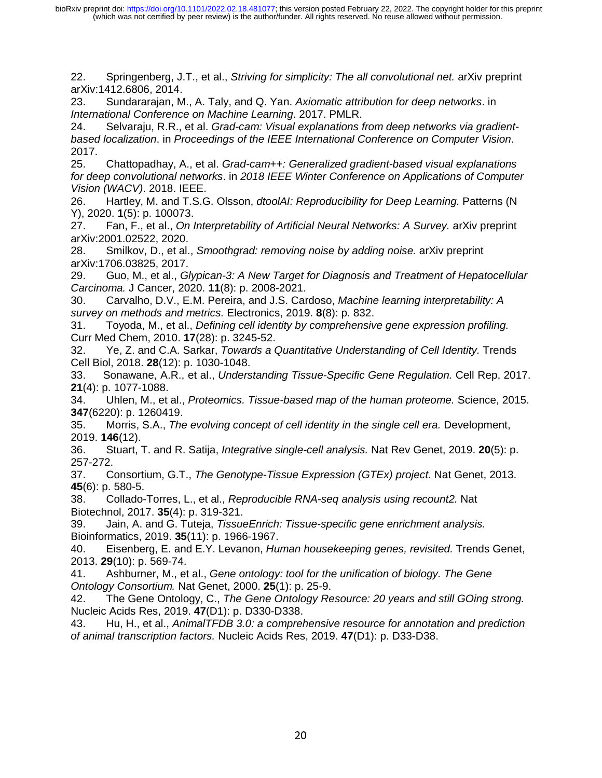22. Springenberg, J.T., et al., *Striving for simplicity: The all convolutional net.* arXiv preprint arXiv:1412.6806, 2014.

23. Sundararajan, M., A. Taly, and Q. Yan. *Axiomatic attribution for deep networks*. in *International Conference on Machine Learning*. 2017. PMLR.

24. Selvaraju, R.R., et al. *Grad-cam: Visual explanations from deep networks via gradientbased localization*. in *Proceedings of the IEEE International Conference on Computer Vision*. 2017.

25. Chattopadhay, A., et al. *Grad-cam++: Generalized gradient-based visual explanations for deep convolutional networks*. in *2018 IEEE Winter Conference on Applications of Computer Vision (WACV)*. 2018. IEEE.

26. Hartley, M. and T.S.G. Olsson, *dtoolAI: Reproducibility for Deep Learning.* Patterns (N Y), 2020. **1**(5): p. 100073.

27. Fan, F., et al., *On Interpretability of Artificial Neural Networks: A Survey.* arXiv preprint arXiv:2001.02522, 2020.

28. Smilkov, D., et al., *Smoothgrad: removing noise by adding noise.* arXiv preprint arXiv:1706.03825, 2017.

29. Guo, M., et al., *Glypican-3: A New Target for Diagnosis and Treatment of Hepatocellular Carcinoma.* J Cancer, 2020. **11**(8): p. 2008-2021.

30. Carvalho, D.V., E.M. Pereira, and J.S. Cardoso, *Machine learning interpretability: A survey on methods and metrics.* Electronics, 2019. **8**(8): p. 832.

31. Toyoda, M., et al., *Defining cell identity by comprehensive gene expression profiling.* Curr Med Chem, 2010. **17**(28): p. 3245-52.

32. Ye, Z. and C.A. Sarkar, *Towards a Quantitative Understanding of Cell Identity.* Trends Cell Biol, 2018. **28**(12): p. 1030-1048.

33. Sonawane, A.R., et al., *Understanding Tissue-Specific Gene Regulation.* Cell Rep, 2017. **21**(4): p. 1077-1088.

34. Uhlen, M., et al., *Proteomics. Tissue-based map of the human proteome.* Science, 2015. **347**(6220): p. 1260419.

35. Morris, S.A., *The evolving concept of cell identity in the single cell era.* Development, 2019. **146**(12).

36. Stuart, T. and R. Satija, *Integrative single-cell analysis.* Nat Rev Genet, 2019. **20**(5): p. 257-272.

37. Consortium, G.T., *The Genotype-Tissue Expression (GTEx) project.* Nat Genet, 2013. **45**(6): p. 580-5.

38. Collado-Torres, L., et al., *Reproducible RNA-seq analysis using recount2.* Nat Biotechnol, 2017. **35**(4): p. 319-321.

39. Jain, A. and G. Tuteja, *TissueEnrich: Tissue-specific gene enrichment analysis.* Bioinformatics, 2019. **35**(11): p. 1966-1967.

40. Eisenberg, E. and E.Y. Levanon, *Human housekeeping genes, revisited.* Trends Genet, 2013. **29**(10): p. 569-74.

41. Ashburner, M., et al., *Gene ontology: tool for the unification of biology. The Gene Ontology Consortium.* Nat Genet, 2000. **25**(1): p. 25-9.

42. The Gene Ontology, C., *The Gene Ontology Resource: 20 years and still GOing strong.* Nucleic Acids Res, 2019. **47**(D1): p. D330-D338.

43. Hu, H., et al., *AnimalTFDB 3.0: a comprehensive resource for annotation and prediction of animal transcription factors.* Nucleic Acids Res, 2019. **47**(D1): p. D33-D38.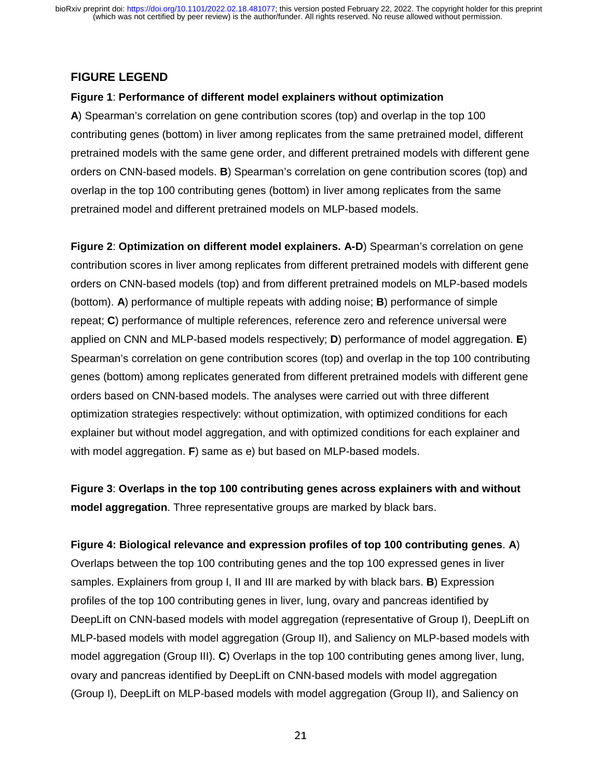## **FIGURE LEGEND**

#### **Figure 1**: **Performance of different model explainers without optimization**

**A**) Spearman's correlation on gene contribution scores (top) and overlap in the top 100 contributing genes (bottom) in liver among replicates from the same pretrained model, different pretrained models with the same gene order, and different pretrained models with different gene orders on CNN-based models. **B**) Spearman's correlation on gene contribution scores (top) and overlap in the top 100 contributing genes (bottom) in liver among replicates from the same pretrained model and different pretrained models on MLP-based models.

**Figure 2**: **Optimization on different model explainers. A-D**) Spearman's correlation on gene contribution scores in liver among replicates from different pretrained models with different gene orders on CNN-based models (top) and from different pretrained models on MLP-based models (bottom). **A**) performance of multiple repeats with adding noise; **B**) performance of simple repeat; **C**) performance of multiple references, reference zero and reference universal were applied on CNN and MLP-based models respectively; **D**) performance of model aggregation. **E**) Spearman's correlation on gene contribution scores (top) and overlap in the top 100 contributing genes (bottom) among replicates generated from different pretrained models with different gene orders based on CNN-based models. The analyses were carried out with three different optimization strategies respectively: without optimization, with optimized conditions for each explainer but without model aggregation, and with optimized conditions for each explainer and with model aggregation. **F**) same as e) but based on MLP-based models.

**Figure 3**: **Overlaps in the top 100 contributing genes across explainers with and without model aggregation**. Three representative groups are marked by black bars.

**Figure 4: Biological relevance and expression profiles of top 100 contributing genes**. **A**) Overlaps between the top 100 contributing genes and the top 100 expressed genes in liver samples. Explainers from group I, II and III are marked by with black bars. **B**) Expression profiles of the top 100 contributing genes in liver, lung, ovary and pancreas identified by DeepLift on CNN-based models with model aggregation (representative of Group I), DeepLift on MLP-based models with model aggregation (Group II), and Saliency on MLP-based models with model aggregation (Group III). **C**) Overlaps in the top 100 contributing genes among liver, lung, ovary and pancreas identified by DeepLift on CNN-based models with model aggregation (Group I), DeepLift on MLP-based models with model aggregation (Group II), and Saliency on

 $21$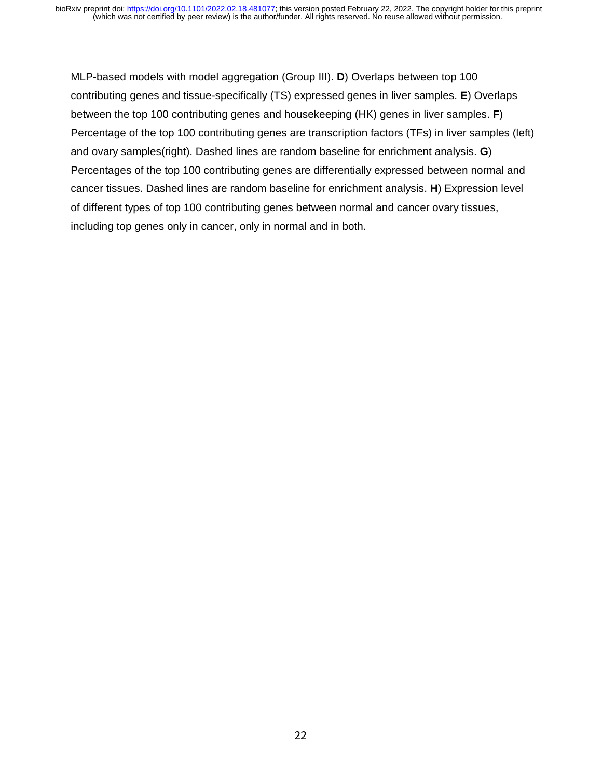MLP-based models with model aggregation (Group III). **D**) Overlaps between top 100 contributing genes and tissue-specifically (TS) expressed genes in liver samples. **E**) Overlaps between the top 100 contributing genes and housekeeping (HK) genes in liver samples. **F**) Percentage of the top 100 contributing genes are transcription factors (TFs) in liver samples (left) and ovary samples(right). Dashed lines are random baseline for enrichment analysis. **G**) Percentages of the top 100 contributing genes are differentially expressed between normal and cancer tissues. Dashed lines are random baseline for enrichment analysis. **H**) Expression level of different types of top 100 contributing genes between normal and cancer ovary tissues, including top genes only in cancer, only in normal and in both.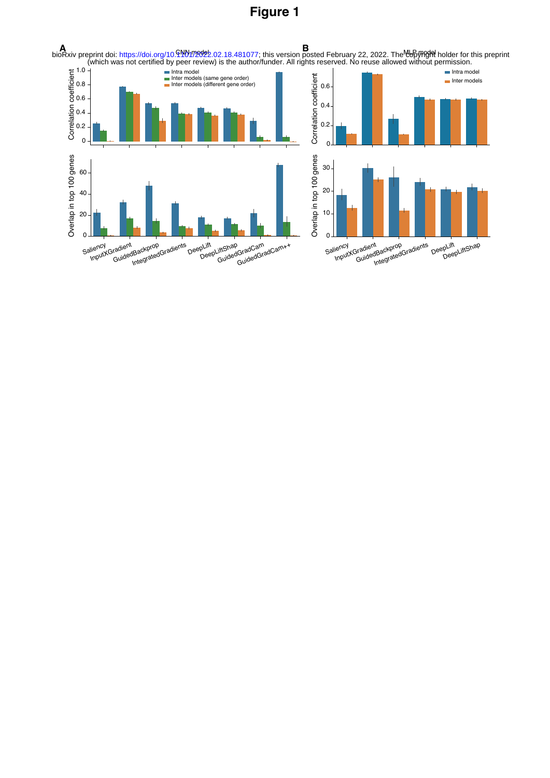## **Figure 1**

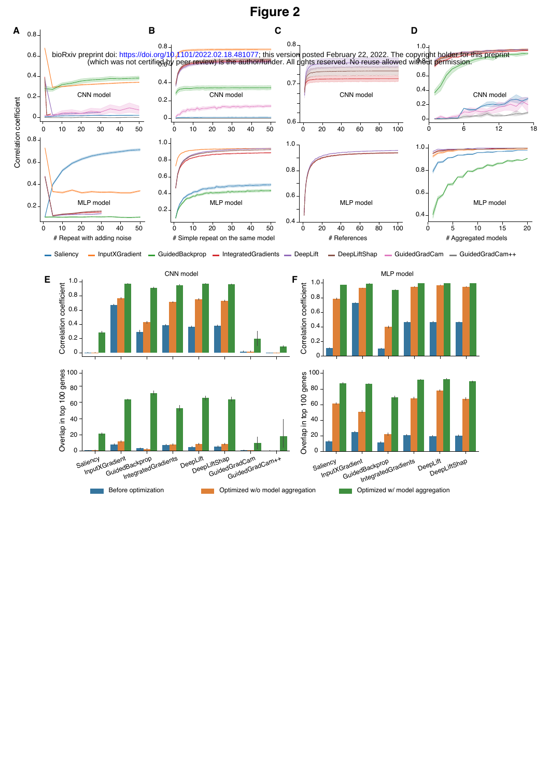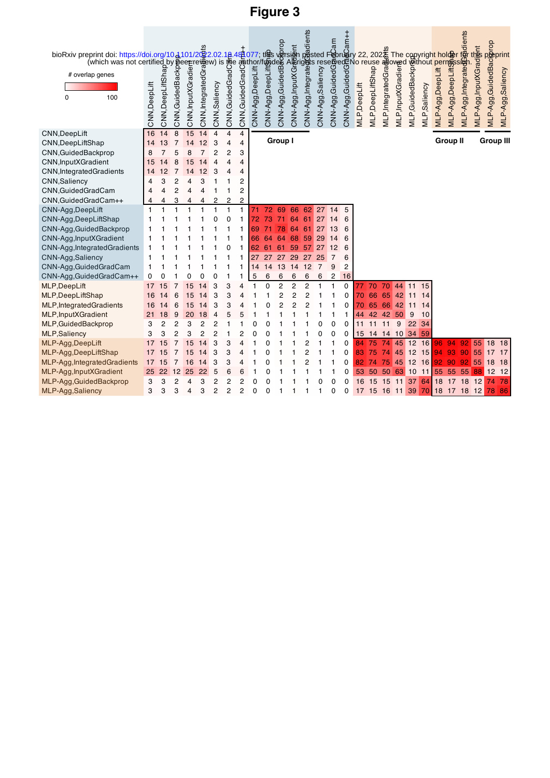# **Figure 3**

| bioRxiv preprint doi: https://doi.org/10.4101/202.02.18.49                                                                                                                                                                                            |                          |                |         |        |        |                |                     |                     |        |          |                |                                  |                |        |               | ⊢Hule: |          |          |    |       |    |    |    |                 | fØr               |                       |                                                            |          |
|-------------------------------------------------------------------------------------------------------------------------------------------------------------------------------------------------------------------------------------------------------|--------------------------|----------------|---------|--------|--------|----------------|---------------------|---------------------|--------|----------|----------------|----------------------------------|----------------|--------|---------------|--------|----------|----------|----|-------|----|----|----|-----------------|-------------------|-----------------------|------------------------------------------------------------|----------|
| eprint doi: https://doi.org/10.4101/2.02.18.44077; that a constrained constrained by the copyright holder (which was not certified by g.2.02.18.44077; that a constrained by the copyright holder (which was not certified by<br># overlap genes<br>0 |                          |                |         |        |        |                |                     |                     |        |          |                |                                  |                |        |               |        |          |          |    |       |    |    |    |                 | MLP-Agg,Integrate | MLP-Agg,InputXGradent | MLP-Agg,GuidedBack<br>MLP-Agg,Saliency<br>MLP-Agg,Saliency |          |
|                                                                                                                                                                                                                                                       |                          |                |         |        |        |                |                     |                     |        |          |                |                                  |                |        |               |        |          |          |    |       |    |    |    |                 |                   |                       |                                                            |          |
| <b>CNN,DeepLift</b>                                                                                                                                                                                                                                   | 16                       | 14             | 8       | 15     | 14     | $\overline{4}$ | 4                   | 4                   |        |          | Group I        |                                  |                |        |               |        |          |          |    |       |    |    |    | <b>Group II</b> |                   |                       | <b>Group III</b>                                           |          |
| CNN, DeepLiftShap                                                                                                                                                                                                                                     | 14                       | 13             |         | 14     | 12     | 3              | 4                   | 4                   |        |          |                |                                  |                |        |               |        |          |          |    |       |    |    |    |                 |                   |                       |                                                            |          |
| CNN, Guided Backprop                                                                                                                                                                                                                                  | 8                        |                |         |        |        | 2              | 2                   | 3                   |        |          |                |                                  |                |        |               |        |          |          |    |       |    |    |    |                 |                   |                       |                                                            |          |
| CNN, InputXGradient                                                                                                                                                                                                                                   | 15                       |                |         |        |        | 4              | 4                   | 4                   |        |          |                |                                  |                |        |               |        |          |          |    |       |    |    |    |                 |                   |                       |                                                            |          |
| CNN, Integrated Gradients                                                                                                                                                                                                                             | 14                       | 12             |         | 14     |        | 3              | 4                   | 4                   |        |          |                |                                  |                |        |               |        |          |          |    |       |    |    |    |                 |                   |                       |                                                            |          |
| <b>CNN, Saliency</b>                                                                                                                                                                                                                                  | 4                        | 3              | 2       |        | 3      |                |                     | $\overline{2}$      |        |          |                |                                  |                |        |               |        |          |          |    |       |    |    |    |                 |                   |                       |                                                            |          |
| CNN, Guided Grad Cam                                                                                                                                                                                                                                  |                          | Δ              | 2       | 4      | 4      |                | 1                   | $\overline{2}$      |        |          |                |                                  |                |        |               |        |          |          |    |       |    |    |    |                 |                   |                       |                                                            |          |
| CNN, Guided Grad Cam++                                                                                                                                                                                                                                |                          | $\overline{1}$ |         |        | 4      | 2              | 2                   | 2                   |        |          |                |                                  |                |        |               |        |          |          |    |       |    |    |    |                 |                   |                       |                                                            |          |
| CNN-Agg,DeepLift                                                                                                                                                                                                                                      | 1                        |                |         |        |        | 1              | 1                   | $\mathbf{1}$        |        |          | 69             | 66                               | 62             | 27     | 14            | 5      |          |          |    |       |    |    |    |                 |                   |                       |                                                            |          |
| CNN-Agg,DeepLiftShap                                                                                                                                                                                                                                  | 1                        |                |         |        |        | በ              | 0                   |                     |        |          |                |                                  | 61             | 27     | 4             | 6      |          |          |    |       |    |    |    |                 |                   |                       |                                                            |          |
| CNN-Agg, Guided Backprop                                                                                                                                                                                                                              |                          |                |         |        |        |                |                     |                     | 69     |          |                | 64                               | 61             | 27     | 13            | 6      |          |          |    |       |    |    |    |                 |                   |                       |                                                            |          |
| CNN-Agg, InputXGradient                                                                                                                                                                                                                               | 1                        |                |         |        |        |                |                     |                     | 66     |          |                |                                  | 59             | 29     | 14            | 6      |          |          |    |       |    |    |    |                 |                   |                       |                                                            |          |
| CNN-Agg, Integrated Gradients                                                                                                                                                                                                                         | $\mathbf{1}$             |                |         |        |        |                | 0                   |                     | 62     | 61       | 61             | 59                               | 57             | 27     | 12            | 6      |          |          |    |       |    |    |    |                 |                   |                       |                                                            |          |
| CNN-Agg,Saliency                                                                                                                                                                                                                                      | $\mathbf{1}$             |                |         |        |        |                |                     |                     | 27     |          |                | 29                               | 27             | 25     |               | 6      |          |          |    |       |    |    |    |                 |                   |                       |                                                            |          |
| CNN-Agg, Guided Grad Cam                                                                                                                                                                                                                              | $\mathbf{1}$<br>$\Omega$ |                |         |        | 0      | 0              |                     | 1                   | 14     | 14       | 13             | 14                               | 12             | 7      | 9             | 2      |          |          |    |       |    |    |    |                 |                   |                       |                                                            |          |
| CNN-Agg, Guided Grad Cam++                                                                                                                                                                                                                            |                          | 0              |         |        |        |                | 1                   | 1                   | 5      | 6        | 6              | 6                                | 6              | 6      | 2             | 16     |          |          |    |       |    |    |    |                 |                   |                       |                                                            |          |
| MLP,DeepLift                                                                                                                                                                                                                                          | 17                       | 15             |         | 15     |        | 3              | 3                   | 4                   |        | $\Omega$ | $\overline{2}$ | 2                                | 2              |        |               | 0      |          | 70       | 70 | 44 11 |    | 15 |    |                 |                   |                       |                                                            |          |
| MLP,DeepLiftShap                                                                                                                                                                                                                                      | 16                       | 14             | 6       | 15     |        | 3              | 3                   | 4                   |        |          | 2              | $\overline{c}$<br>$\overline{2}$ | $\overline{c}$ |        |               | 0      | 70       | 66       | 65 | 42    | 11 | 14 |    |                 |                   |                       |                                                            |          |
| MLP, Integrated Gradients                                                                                                                                                                                                                             | 16                       | 14             | 6       | 15     | 4      | 3              | 3                   | 4                   |        | 0        | 2              |                                  | $\overline{2}$ |        |               | 0      | 70       | 65 66    |    | 42    | 11 | 14 |    |                 |                   |                       |                                                            |          |
| MLP, InputXGradient                                                                                                                                                                                                                                   | 21                       | 18             | 9       | 20     | 18     | 4              | 5                   | 5                   |        |          |                |                                  |                |        |               | 1      | 44       | 42       | 42 | 50    | 9  | 10 |    |                 |                   |                       |                                                            |          |
| MLP, Guided Backprop                                                                                                                                                                                                                                  | 3                        | 2              | 2       | 3      | 2      | 2              |                     |                     | 0      |          |                |                                  |                |        | 0             | 0      | 11       | 11       | 11 | 9     | 22 | 34 |    |                 |                   |                       |                                                            |          |
| <b>MLP,Saliency</b>                                                                                                                                                                                                                                   | 3                        | 3              | 2       | 3      | 2      | $\overline{c}$ |                     | 2                   | በ      |          |                |                                  |                | በ      | O             | 0      | 15       | 14 14    |    | 10    | 34 | 59 |    |                 |                   |                       |                                                            |          |
| MLP-Agg,DeepLift                                                                                                                                                                                                                                      | 17                       | 15             |         | 15     | 14     | 3              | 3                   | 4                   |        |          |                |                                  |                |        |               | 0      |          | 75       | 74 | 45 12 |    | 16 | 96 | 94              | 92                | 55                    | 18                                                         | 18       |
| MLP-Agg,DeepLiftShap                                                                                                                                                                                                                                  | 17                       | 15             |         | 15     |        | 3              | 3                   | 4                   |        |          |                |                                  | 2              |        |               | 0      | 83       | 75       | 74 | 45    | 12 | 15 | 94 | 93              | 90                | 55                    | 17                                                         | 17       |
| MLP-Agg, Integrated Gradients                                                                                                                                                                                                                         | 17                       | 15             |         | 16     |        | 3              | 3                   | 4                   |        |          |                |                                  | 2              |        |               | 0      | 82       | 74       | 75 | 45    | 12 | 16 | 92 | 90              | 92                | 55                    | 18                                                         | 18       |
| MLP-Agg, InputXGradient                                                                                                                                                                                                                               | 25                       | 22             | 12<br>2 | 25     | 22     | 5              | 6                   | 6                   |        | U        |                |                                  |                |        |               | 0      | 53       | 50       | 50 | 63    | 10 | 11 | 55 | 55              | 55                | 88                    | 12<br>74                                                   | -12      |
| MLP-Agg, Guided Backprop                                                                                                                                                                                                                              | 3                        | 3<br>3         | 3       | 4<br>4 | 3<br>3 | 2<br>2         | 2<br>$\overline{2}$ | $\overline{2}$<br>2 | 0<br>0 | 0        | 1              |                                  | 1              | O<br>1 | 0<br>$\Omega$ | 0      | 16<br>17 | 15<br>15 | 15 | 11    | 37 | 64 | 18 | 17              | 18                | 12                    | 78                                                         | 78<br>86 |
| MLP-Agg, Saliency                                                                                                                                                                                                                                     | 3                        |                |         |        |        |                |                     |                     |        | 0        |                |                                  |                |        |               | 0      |          |          | 16 | 11    | 39 | 70 | 18 | 17              | 18                | 12                    |                                                            |          |